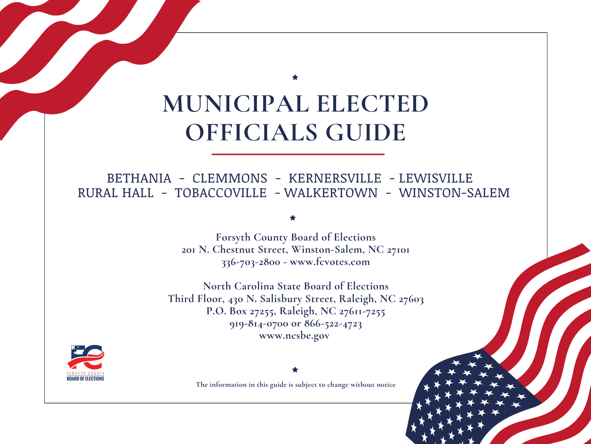# **MUNICIPAL ELECTED OFFICIALS GUIDE**

# BETHANIA - CLEMMONS - KERNERSVILLE - LEWISVILLE RURAL HALL - TOBACCOVILLE - WALKERTOWN - WINSTON-SALEM

**Forsyth County Board of Elections 201 N. Chestnut Street, Winston-Salem, NC 27101 336-703-2800 - www.fcvotes.com**

**North Carolina State Board of Elections Third Floor, 430 N. Salisbury Street, Raleigh, NC 27603 P.O. Box 27255, Raleigh, NC 27611-7255 919-814-0700 or 866-522-4723 www.ncsbe.gov**



**The information in this guide is subject to change without notice**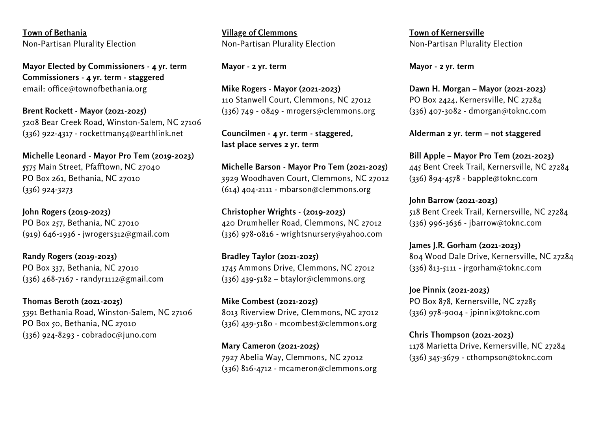**Town of Bethania** Non-Partisan Plurality Election

**Mayor Elected by Commissioners - 4 yr. term Commissioners - 4 yr. term - staggered** email: office@townofbethania.org

**Brent Rockett - Mayor (2021-2025)** 5208 Bear Creek Road, Winston-Salem, NC 27106  $(336)$  922-4317 - rockettman54@earthlink.net

**Michelle Leonard - Mayor Pro Tem (2019-2023) 5**575 Main Street, Pfafftown, NC 27040 PO Box 261, Bethania, NC 27010 (336) 924-3273

**John Rogers (2019-2023)** PO Box 257, Bethania, NC 27010 (919) 646-1936 - jwrogers312@gmail.com

**Randy Rogers (2019-2023)** PO Box 337, Bethania, NC 27010 (336) 468-7167 - randyr1112@gmail.com

**Thomas Beroth (2021-2025)** 5391 Bethania Road, Winston-Salem, NC 27106 PO Box 50, Bethania, NC 27010 (336) 924-8293 - cobradoc@juno.com

**Village of Clemmons** Non-Partisan Plurality Election

**Mayor - 2 yr. term**

**Mike Rogers - Mayor (2021-2023)** 110 Stanwell Court, Clemmons, NC 27012 (336) 749 - 0849 - mrogers@clemmons.org

**Councilmen - 4 yr. term - staggered, last place serves 2 yr. term**

**Michelle Barson - Mayor Pro Tem (2021-2025)** 3929 Woodhaven Court, Clemmons, NC 27012 (614) 404-2111 - mbarson@clemmons.org

**Christopher Wrights - (2019-2023)** 420 Drumheller Road, Clemmons, NC 27012 (336) 978-0816 - wrightsnursery@yahoo.com

**Bradley Taylor (2021-2025)** 1745 Ammons Drive, Clemmons, NC 27012  $(336)$  439-5182 – btaylor@clemmons.org

**Mike Combest (2021-2025)** 8013 Riverview Drive, Clemmons, NC 27012 (336) 439-5180 - mcombest@clemmons.org

**Mary Cameron (2021-2025)** 7927 Abelia Way, Clemmons, NC 27012 (336) 816-4712 - mcameron@clemmons.org **Town of Kernersville** Non-Partisan Plurality Election

**Mayor - 2 yr. term**

**Dawn H. Morgan – Mayor (2021-2023)** PO Box 2424, Kernersville, NC 27284 (336) 407-3082 - dmorgan@toknc.com

**Alderman 2 yr. term – not staggered**

**Bill Apple – Mayor Pro Tem (2021-2023)** 445 Bent Creek Trail, Kernersville, NC 27284 (336) 894-4578 - bapple@toknc.com

**John Barrow (2021-2023)** 518 Bent Creek Trail, Kernersville, NC 27284 (336) 996-3636 - jbarrow@toknc.com

**James J.R. Gorham (2021-2023)** 804 Wood Dale Drive, Kernersville, NC 27284 (336) 813-5111 - jrgorham@toknc.com

**Joe Pinnix (2021-2023)** PO Box 878, Kernersville, NC 27285 (336) 978-9004 - jpinnix@toknc.com

**Chris Thompson (2021-2023)** 1178 Marietta Drive, Kernersville, NC 27284 (336) 345-3679 - cthompson@toknc.com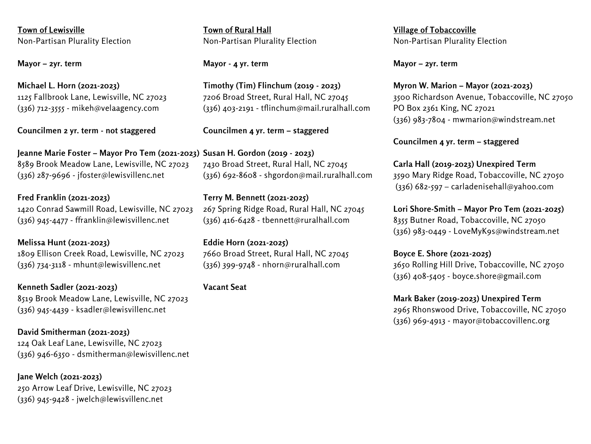**Town of Lewisville** Non-Partisan Plurality Election

**Mayor – 2yr. term**

**Michael L. Horn (2021-2023)** 1125 Fallbrook Lane, Lewisville, NC 27023 (336) 712-3555 - mikeh@velaagency.com

**Councilmen 2 yr. term - not staggered**

**Jeanne Marie Foster – Mayor Pro Tem (2021-2023) Susan H. Gordon (2019 - 2023)** 8589 Brook Meadow Lane, Lewisville, NC 27023 (336) 287-9696 - jfoster@lewisvillenc.net

**Fred Franklin (2021-2023)** 1420 Conrad Sawmill Road, Lewisville, NC 27023 (336) 945-4477 - ffranklin@lewisvillenc.net

**Melissa Hunt (2021-2023)** 1809 Ellison Creek Road, Lewisville, NC 27023 (336) 734-3118 - mhunt@lewisvillenc.net

**Kenneth Sadler (2021-2023)** 8519 Brook Meadow Lane, Lewisville, NC 27023 (336) 945-4439 - ksadler@lewisvillenc.net

**David Smitherman (2021-2023)** 124 Oak Leaf Lane, Lewisville, NC 27023 (336) 946-6350 - dsmitherman@lewisvillenc.net

**Jane Welch (2021-2023)** 250 Arrow Leaf Drive, Lewisville, NC 27023 (336) 945-9428 - jwelch@lewisvillenc.net

**Town of Rural Hall** Non-Partisan Plurality Election

### **Mayor - 4 yr. term**

**Timothy (Tim) Flinchum (2019 - 2023)** 7206 Broad Street, Rural Hall, NC 27045 (336) 403-2191 - tflinchum@mail.ruralhall.com

**Councilmen 4 yr. term – staggered**

7430 Broad Street, Rural Hall, NC 27045 (336) 692-8608 - shgordon@mail.ruralhall.com

**Terry M. Bennett (2021-2025)** 267 Spring Ridge Road, Rural Hall, NC 27045 (336) 416-6428 - tbennett@ruralhall.com

**Eddie Horn (2021-2025)** 7660 Broad Street, Rural Hall, NC 27045 (336) 399-9748 - nhorn@ruralhall.com

**Vacant Seat**

**Village of Tobaccoville** Non-Partisan Plurality Election

**Mayor – 2yr. term**

**Myron W. Marion – Mayor (2021-2023)** 3500 Richardson Avenue, Tobaccoville, NC 27050 PO Box 2361 King, NC 27021 (336) 983-7804 - mwmarion@windstream.net

**Councilmen 4 yr. term – staggered**

**Carla Hall (2019-2023) Unexpired Term** 3590 Mary Ridge Road, Tobaccoville, NC 27050 (336) 682-597 – carladenisehall@yahoo.com

**Lori Shore-Smith – Mayor Pro Tem (2021-2025)** 8355 Butner Road, Tobaccoville, NC 27050 (336) 983-0449 - LoveMyK9s@windstream.net

**Boyce E. Shore (2021-2025)** 3650 Rolling Hill Drive, Tobaccoville, NC 27050 (336) 408-5405 - boyce.shore@gmail.com

**Mark Baker (2019-2023) Unexpired Term** 2965 Rhonswood Drive, Tobaccoville, NC 27050 (336) 969-4913 - mayor@tobaccovillenc.org